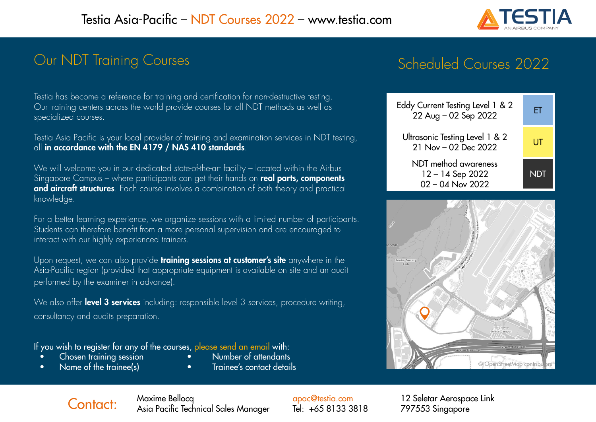

### Our NDT Training Courses

## Scheduled Courses 2022

Testia has become a reference for training and certification for non-destructive testing. Our training centers across the world provide courses for all NDT methods as well as specialized courses.

Testia Asia Pacific is your local provider of training and examination services in NDT testing, all in accordance with the EN 4179 / NAS 410 standards.

We will welcome you in our dedicated state-of-the-art facility – located within the Airbus Singapore Campus – where participants can get their hands on real parts, components and aircraft structures. Each course involves a combination of both theory and practical knowledge.

For a better learning experience, we organize sessions with a limited number of participants. Students can therefore benefit from a more personal supervision and are encouraged to interact with our highly experienced trainers.

Upon request, we can also provide **training sessions at customer's site** anywhere in the Asia-Pacific region (provided that appropriate equipment is available on site and an audit performed by the examiner in advance).

We also offer level 3 services including: responsible level 3 services, procedure writing, consultancy and audits preparation.

If you wish to register for any of the courses, [please send an email](mailto:apac%40testia.com?subject=) with:<br>• Chosen training session • Number of attendants

- $Chosen$  training session  $\bullet$
- 
- 
- Name of the trainee(s) Trainee's contact details





Contact: Maxime Bellocq Asia Pacific Technical Sales Manager

[apac@testia.com](mailto:apac%40testia.com?subject=) Tel: +65 8133 3818

12 Seletar Aerospace Link 797553 Singapore